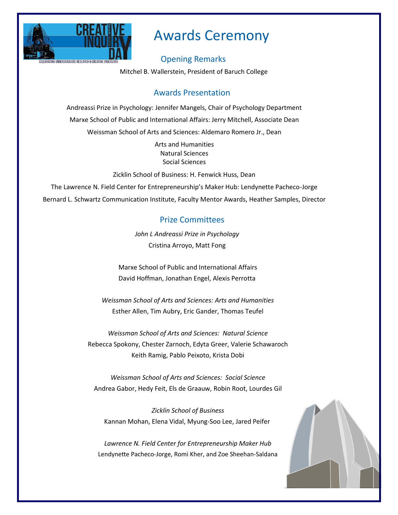

# Awards Ceremony

## Opening Remarks

Mitchel B. Wallerstein, President of Baruch College

# Awards Presentation

Andreassi Prize in Psychology: Jennifer Mangels, Chair of Psychology Department Marxe School of Public and International Affairs: Jerry Mitchell, Associate Dean Weissman School of Arts and Sciences: Aldemaro Romero Jr., Dean

> Arts and Humanities Natural Sciences Social Sciences

Zicklin School of Business: H. Fenwick Huss, Dean

The Lawrence N. Field Center for Entrepreneurship's Maker Hub: Lendynette Pacheco-Jorge Bernard L. Schwartz Communication Institute, Faculty Mentor Awards, Heather Samples, Director

## Prize Committees

*John L Andreassi Prize in Psychology* Cristina Arroyo, Matt Fong

Marxe School of Public and International Affairs David Hoffman, Jonathan Engel, Alexis Perrotta

*Weissman School of Arts and Sciences: Arts and Humanities* Esther Allen, Tim Aubry, Eric Gander, Thomas Teufel

*Weissman School of Arts and Sciences: Natural Science* Rebecca Spokony, Chester Zarnoch, Edyta Greer, Valerie Schawaroch Keith Ramig, Pablo Peixoto, Krista Dobi

*Weissman School of Arts and Sciences: Social Science* Andrea Gabor, Hedy Feit, Els de Graauw, Robin Root, Lourdes Gil

*Zicklin School of Business* Kannan Mohan, Elena Vidal, Myung-Soo Lee, Jared Peifer

*Lawrence N. Field Center for Entrepreneurship Maker Hub* Lendynette Pacheco-Jorge, Romi Kher, and Zoe Sheehan-Saldana

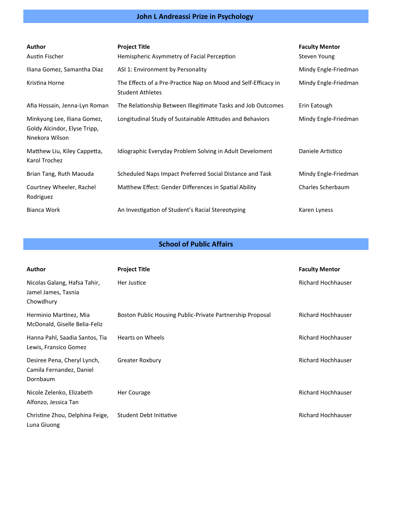# **John L Andreassi Prize in Psychology**

| <b>Author</b><br>Austin Fischer                                               | <b>Project Title</b><br>Hemispheric Asymmetry of Facial Perception                        | <b>Faculty Mentor</b><br>Steven Young |
|-------------------------------------------------------------------------------|-------------------------------------------------------------------------------------------|---------------------------------------|
| Iliana Gomez, Samantha Diaz                                                   | ASI 1: Environment by Personality                                                         | Mindy Engle-Friedman                  |
| Kristina Horne                                                                | The Effects of a Pre-Practice Nap on Mood and Self-Efficacy in<br><b>Student Athletes</b> | Mindy Engle-Friedman                  |
| Afia Hossain, Jenna-Lyn Roman                                                 | The Relationship Between Illegitimate Tasks and Job Outcomes                              | Erin Eatough                          |
| Minkyung Lee, Iliana Gomez,<br>Goldy Alcindor, Elyse Tripp,<br>Nnekora Wilson | Longitudinal Study of Sustainable Attitudes and Behaviors                                 | Mindy Engle-Friedman                  |
| Matthew Liu, Kiley Cappetta,<br>Karol Trochez                                 | Idiographic Everyday Problem Solving in Adult Develoment                                  | Daniele Artistico                     |
| Brian Tang, Ruth Maouda                                                       | Scheduled Naps Impact Preferred Social Distance and Task                                  | Mindy Engle-Friedman                  |
| Courtney Wheeler, Rachel<br>Rodriguez                                         | Matthew Effect: Gender Differences in Spatial Ability                                     | Charles Scherbaum                     |
| Bianca Work                                                                   | An Investigation of Student's Racial Stereotyping                                         | Karen Lyness                          |

#### **School of Public Affairs**

| Author                                                              | <b>Project Title</b>                                      | <b>Faculty Mentor</b>     |
|---------------------------------------------------------------------|-----------------------------------------------------------|---------------------------|
| Nicolas Galang, Hafsa Tahir,<br>Jamel James, Tasnia<br>Chowdhury    | Her Justice                                               | Richard Hochhauser        |
| Herminio Martinez, Mia<br>McDonald, Giselle Belia-Feliz             | Boston Public Housing Public-Private Partnership Proposal | <b>Richard Hochhauser</b> |
| Hanna Pahl, Saadia Santos, Tia<br>Lewis, Fransico Gomez             | <b>Hearts on Wheels</b>                                   | Richard Hochhauser        |
| Desiree Pena, Cheryl Lynch,<br>Camila Fernandez, Daniel<br>Dornbaum | Greater Roxbury                                           | Richard Hochhauser        |
| Nicole Zelenko, Elizabeth<br>Alfonzo, Jessica Tan                   | Her Courage                                               | <b>Richard Hochhauser</b> |
| Christine Zhou, Delphina Feige,<br>Luna Giuong                      | Student Debt Initiative                                   | <b>Richard Hochhauser</b> |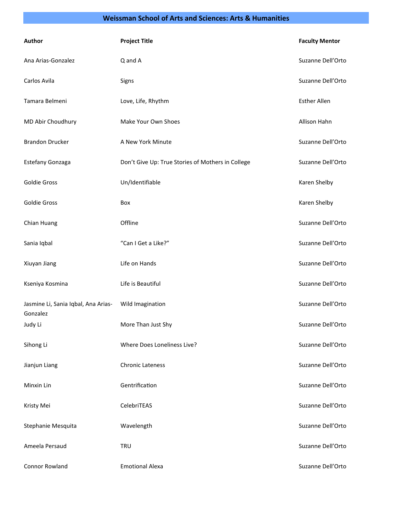#### **Weissman School of Arts and Sciences: Arts & Humanities**

| Author                                          | <b>Project Title</b>                              | <b>Faculty Mentor</b> |
|-------------------------------------------------|---------------------------------------------------|-----------------------|
| Ana Arias-Gonzalez                              | Q and A                                           | Suzanne Dell'Orto     |
| Carlos Avila                                    | Signs                                             | Suzanne Dell'Orto     |
| Tamara Belmeni                                  | Love, Life, Rhythm                                | <b>Esther Allen</b>   |
| MD Abir Choudhury                               | Make Your Own Shoes                               | Allison Hahn          |
| <b>Brandon Drucker</b>                          | A New York Minute                                 | Suzanne Dell'Orto     |
| Estefany Gonzaga                                | Don't Give Up: True Stories of Mothers in College | Suzanne Dell'Orto     |
| <b>Goldie Gross</b>                             | Un/Identifiable                                   | Karen Shelby          |
| Goldie Gross                                    | Box                                               | Karen Shelby          |
| Chian Huang                                     | Offline                                           | Suzanne Dell'Orto     |
| Sania Iqbal                                     | "Can I Get a Like?"                               | Suzanne Dell'Orto     |
| Xiuyan Jiang                                    | Life on Hands                                     | Suzanne Dell'Orto     |
| Kseniya Kosmina                                 | Life is Beautiful                                 | Suzanne Dell'Orto     |
| Jasmine Li, Sania Iqbal, Ana Arias-<br>Gonzalez | Wild Imagination                                  | Suzanne Dell'Orto     |
| Judy Li                                         | More Than Just Shy                                | Suzanne Dell'Orto     |
| Sihong Li                                       | Where Does Loneliness Live?                       | Suzanne Dell'Orto     |
| Jianjun Liang                                   | <b>Chronic Lateness</b>                           | Suzanne Dell'Orto     |
| Minxin Lin                                      | Gentrification                                    | Suzanne Dell'Orto     |
| Kristy Mei                                      | CelebriTEAS                                       | Suzanne Dell'Orto     |
| Stephanie Mesquita                              | Wavelength                                        | Suzanne Dell'Orto     |
| Ameela Persaud                                  | <b>TRU</b>                                        | Suzanne Dell'Orto     |
| Connor Rowland                                  | <b>Emotional Alexa</b>                            | Suzanne Dell'Orto     |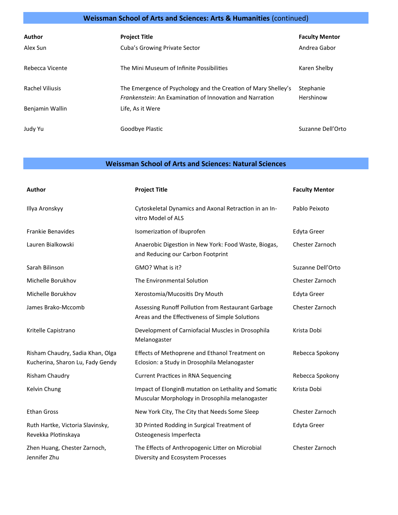# **Weissman School of Arts and Sciences: Arts & Humanities** (continued)

| Author<br>Alex Sun | <b>Project Title</b><br>Cuba's Growing Private Sector                                                                             | <b>Faculty Mentor</b><br>Andrea Gabor |
|--------------------|-----------------------------------------------------------------------------------------------------------------------------------|---------------------------------------|
| Rebecca Vicente    | The Mini Museum of Infinite Possibilities                                                                                         | Karen Shelby                          |
| Rachel Viliusis    | The Emergence of Psychology and the Creation of Mary Shelley's<br><i>Frankenstein:</i> An Examination of Innovation and Narration | Stephanie<br>Hershinow                |
| Benjamin Wallin    | Life, As it Were                                                                                                                  |                                       |
| Judy Yu            | Goodbye Plastic                                                                                                                   | Suzanne Dell'Orto                     |

#### **Weissman School of Arts and Sciences: Natural Sciences**

| Author                                                               | <b>Project Title</b>                                                                                   | <b>Faculty Mentor</b> |
|----------------------------------------------------------------------|--------------------------------------------------------------------------------------------------------|-----------------------|
| Illya Aronskyy                                                       | Cytoskeletal Dynamics and Axonal Retraction in an In-<br>vitro Model of ALS                            | Pablo Peixoto         |
| <b>Frankie Benavides</b>                                             | Isomerization of Ibuprofen                                                                             | <b>Edyta Greer</b>    |
| Lauren Bialkowski                                                    | Anaerobic Digestion in New York: Food Waste, Biogas,<br>and Reducing our Carbon Footprint              | Chester Zarnoch       |
| Sarah Bilinson                                                       | GMO? What is it?                                                                                       | Suzanne Dell'Orto     |
| Michelle Borukhov                                                    | The Environmental Solution                                                                             | Chester Zarnoch       |
| Michelle Borukhov                                                    | Xerostomia/Mucositis Dry Mouth                                                                         | Edyta Greer           |
| James Brako-Mccomb                                                   | Assessing Runoff Pollution from Restaurant Garbage<br>Areas and the Effectiveness of Simple Solutions  | Chester Zarnoch       |
| Kritelle Capistrano                                                  | Development of Carniofacial Muscles in Drosophila<br>Melanogaster                                      | Krista Dobi           |
| Risham Chaudry, Sadia Khan, Olga<br>Kucherina, Sharon Lu, Fady Gendy | Effects of Methoprene and Ethanol Treatment on<br>Eclosion: a Study in Drosophila Melanogaster         | Rebecca Spokony       |
| Risham Chaudry                                                       | <b>Current Practices in RNA Sequencing</b>                                                             | Rebecca Spokony       |
| Kelvin Chung                                                         | Impact of ElonginB mutation on Lethality and Somatic<br>Muscular Morphology in Drosophila melanogaster | Krista Dobi           |
| <b>Ethan Gross</b>                                                   | New York City, The City that Needs Some Sleep                                                          | Chester Zarnoch       |
| Ruth Hartke, Victoria Slavinsky,<br>Revekka Plotinskaya              | 3D Printed Rodding in Surgical Treatment of<br>Osteogenesis Imperfecta                                 | <b>Edyta Greer</b>    |
| Zhen Huang, Chester Zarnoch,<br>Jennifer Zhu                         | The Effects of Anthropogenic Litter on Microbial<br>Diversity and Ecosystem Processes                  | Chester Zarnoch       |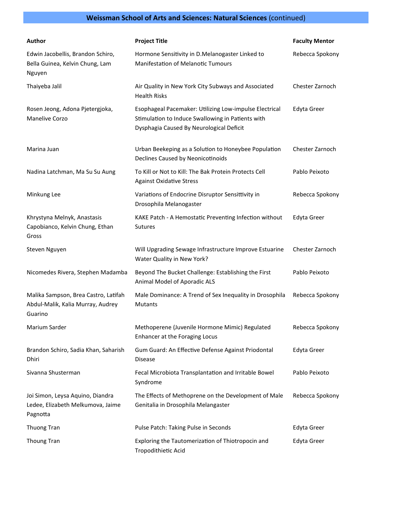# **Weissman School of Arts and Sciences: Natural Sciences** (continued)

| Author                                                                               | <b>Project Title</b>                                                                                                                                    | <b>Faculty Mentor</b> |
|--------------------------------------------------------------------------------------|---------------------------------------------------------------------------------------------------------------------------------------------------------|-----------------------|
| Edwin Jacobellis, Brandon Schiro,<br>Bella Guinea, Kelvin Chung, Lam<br>Nguyen       | Hormone Sensitivity in D.Melanogaster Linked to<br><b>Manifestation of Melanotic Tumours</b>                                                            | Rebecca Spokony       |
| Thaiyeba Jalil                                                                       | Air Quality in New York City Subways and Associated<br><b>Health Risks</b>                                                                              | Chester Zarnoch       |
| Rosen Jeong, Adona Pjetergjoka,<br>Manelive Corzo                                    | Esophageal Pacemaker: Utilizing Low-impulse Electrical<br>Stimulation to Induce Swallowing in Patients with<br>Dysphagia Caused By Neurological Deficit | <b>Edyta Greer</b>    |
| Marina Juan                                                                          | Urban Beekeping as a Solution to Honeybee Population<br>Declines Caused by Neonicotinoids                                                               | Chester Zarnoch       |
| Nadina Latchman, Ma Su Su Aung                                                       | To Kill or Not to Kill: The Bak Protein Protects Cell<br><b>Against Oxidative Stress</b>                                                                | Pablo Peixoto         |
| Minkung Lee                                                                          | Variations of Endocrine Disruptor Sensittivity in<br>Drosophila Melanogaster                                                                            | Rebecca Spokony       |
| Khrystyna Melnyk, Anastasis<br>Capobianco, Kelvin Chung, Ethan<br>Gross              | KAKE Patch - A Hemostatic Preventing Infection without<br><b>Sutures</b>                                                                                | <b>Edyta Greer</b>    |
| Steven Nguyen                                                                        | Will Upgrading Sewage Infrastructure Improve Estuarine<br>Water Quality in New York?                                                                    | Chester Zarnoch       |
| Nicomedes Rivera, Stephen Madamba                                                    | Beyond The Bucket Challenge: Establishing the First<br>Animal Model of Aporadic ALS                                                                     | Pablo Peixoto         |
| Malika Sampson, Brea Castro, Latifah<br>Abdul-Malik, Kalia Murray, Audrey<br>Guarino | Male Dominance: A Trend of Sex Inequality in Drosophila<br><b>Mutants</b>                                                                               | Rebecca Spokony       |
| Marium Sarder                                                                        | Methoperene (Juvenile Hormone Mimic) Regulated<br>Enhancer at the Foraging Locus                                                                        | Rebecca Spokony       |
| Brandon Schiro, Sadia Khan, Saharish<br>Dhiri                                        | Gum Guard: An Effective Defense Against Priodontal<br><b>Disease</b>                                                                                    | <b>Edyta Greer</b>    |
| Sivanna Shusterman                                                                   | Fecal Microbiota Transplantation and Irritable Bowel<br>Syndrome                                                                                        | Pablo Peixoto         |
| Joi Simon, Leysa Aquino, Diandra<br>Ledee, Elizabeth Melkumova, Jaime<br>Pagnotta    | The Effects of Methoprene on the Development of Male<br>Genitalia in Drosophila Melangaster                                                             | Rebecca Spokony       |
| Thuong Tran                                                                          | Pulse Patch: Taking Pulse in Seconds                                                                                                                    | <b>Edyta Greer</b>    |
| Thoung Tran                                                                          | Exploring the Tautomerization of Thiotropocin and<br>Tropodithietic Acid                                                                                | <b>Edyta Greer</b>    |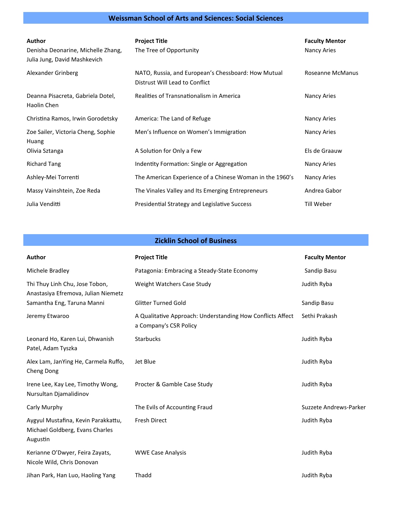#### **Weissman School of Arts and Sciences: Social Sciences**

| Author<br>Denisha Deonarine, Michelle Zhang,<br>Julia Jung, David Mashkevich | <b>Project Title</b><br>The Tree of Opportunity                                       | <b>Faculty Mentor</b><br>Nancy Aries |
|------------------------------------------------------------------------------|---------------------------------------------------------------------------------------|--------------------------------------|
| Alexander Grinberg                                                           | NATO, Russia, and European's Chessboard: How Mutual<br>Distrust Will Lead to Conflict | Roseanne McManus                     |
| Deanna Pisacreta, Gabriela Dotel,<br>Haolin Chen                             | Realities of Transnationalism in America                                              | Nancy Aries                          |
| Christina Ramos, Irwin Gorodetsky                                            | America: The Land of Refuge                                                           | Nancy Aries                          |
| Zoe Sailer, Victoria Cheng, Sophie<br>Huang                                  | Men's Influence on Women's Immigration                                                | Nancy Aries                          |
| Olivia Sztanga                                                               | A Solution for Only a Few                                                             | Els de Graauw                        |
| <b>Richard Tang</b>                                                          | Indentity Formation: Single or Aggregation                                            | Nancy Aries                          |
| Ashley-Mei Torrenti                                                          | The American Experience of a Chinese Woman in the 1960's                              | Nancy Aries                          |
| Massy Vainshtein, Zoe Reda                                                   | The Vinales Valley and Its Emerging Entrepreneurs                                     | Andrea Gabor                         |
| Julia Venditti                                                               | Presidential Strategy and Legislative Success                                         | Till Weber                           |

#### **Zicklin School of Business**

| <b>Author</b>                                                                      | <b>Project Title</b>                                                                 | <b>Faculty Mentor</b>  |
|------------------------------------------------------------------------------------|--------------------------------------------------------------------------------------|------------------------|
| Michele Bradley                                                                    | Patagonia: Embracing a Steady-State Economy                                          | Sandip Basu            |
| Thi Thuy Linh Chu, Jose Tobon,<br>Anastasiya Efremova, Julian Niemetz              | Weight Watchers Case Study                                                           | Judith Ryba            |
| Samantha Eng, Taruna Manni                                                         | <b>Glitter Turned Gold</b>                                                           | Sandip Basu            |
| Jeremy Etwaroo                                                                     | A Qualitative Approach: Understanding How Conflicts Affect<br>a Company's CSR Policy | Sethi Prakash          |
| Leonard Ho, Karen Lui, Dhwanish<br>Patel, Adam Tyszka                              | <b>Starbucks</b>                                                                     | Judith Ryba            |
| Alex Lam, JanYing He, Carmela Ruffo,<br>Cheng Dong                                 | Jet Blue                                                                             | Judith Ryba            |
| Irene Lee, Kay Lee, Timothy Wong,<br>Nursultan Djamalidinov                        | Procter & Gamble Case Study                                                          | Judith Ryba            |
| Carly Murphy                                                                       | The Evils of Accounting Fraud                                                        | Suzzete Andrews-Parker |
| Aygyul Mustafina, Kevin Parakkattu,<br>Michael Goldberg, Evans Charles<br>Augustin | <b>Fresh Direct</b>                                                                  | Judith Ryba            |
| Kerianne O'Dwyer, Feira Zayats,<br>Nicole Wild, Chris Donovan                      | <b>WWE Case Analysis</b>                                                             | Judith Ryba            |
| Jihan Park, Han Luo, Haoling Yang                                                  | Thadd                                                                                | Judith Ryba            |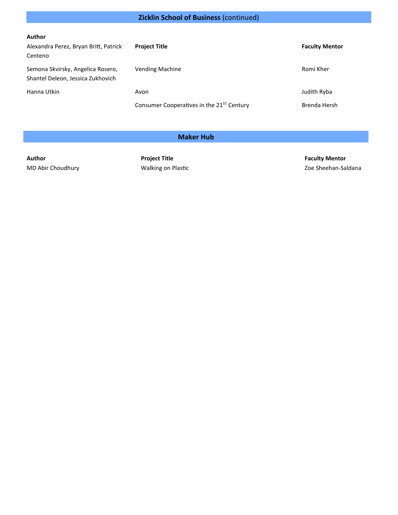# **Zicklin School of Business** (continued)

| Author                                |                                                       |                       |
|---------------------------------------|-------------------------------------------------------|-----------------------|
| Alexandra Perez, Bryan Britt, Patrick | <b>Project Title</b>                                  | <b>Faculty Mentor</b> |
| Centeno                               |                                                       |                       |
| Semona Skvirsky, Angelica Rosero,     | <b>Vending Machine</b>                                | Romi Kher             |
| Shantel Deleon, Jessica Zukhovich     |                                                       |                       |
| Hanna Utkin                           | Avon                                                  | Judith Ryba           |
|                                       | Consumer Cooperatives in the 21 <sup>ST</sup> Century | Brenda Hersh          |

#### **Maker Hub**

**Author Project Title Faculty Mentor**

MD Abir Choudhury **Making on Plastic** MD Abir Choudhury **Zoe Sheehan-Saldana**